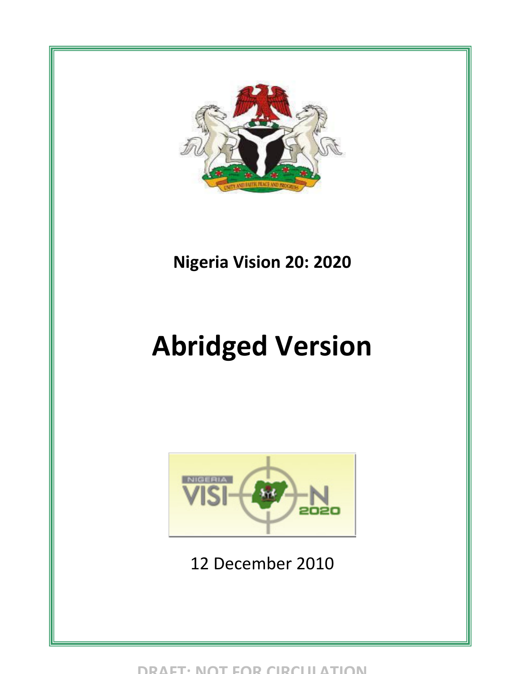

## **Nigeria Vision 20: 2020**

# **Abridged Version**



12 December 2010

**DRAFT: NOT FOR CIRCULATION**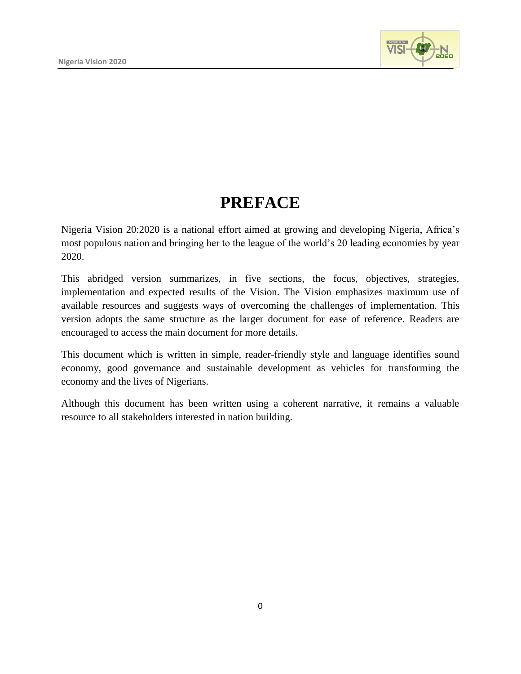

## **PREFACE**

Nigeria Vision 20:2020 is a national effort aimed at growing and developing Nigeria, Africa's most populous nation and bringing her to the league of the world's 20 leading economies by year 2020.

This abridged version summarizes, in five sections, the focus, objectives, strategies, implementation and expected results of the Vision. The Vision emphasizes maximum use of available resources and suggests ways of overcoming the challenges of implementation. This version adopts the same structure as the larger document for ease of reference. Readers are encouraged to access the main document for more details.

This document which is written in simple, reader-friendly style and language identifies sound economy, good governance and sustainable development as vehicles for transforming the economy and the lives of Nigerians.

Although this document has been written using a coherent narrative, it remains a valuable resource to all stakeholders interested in nation building.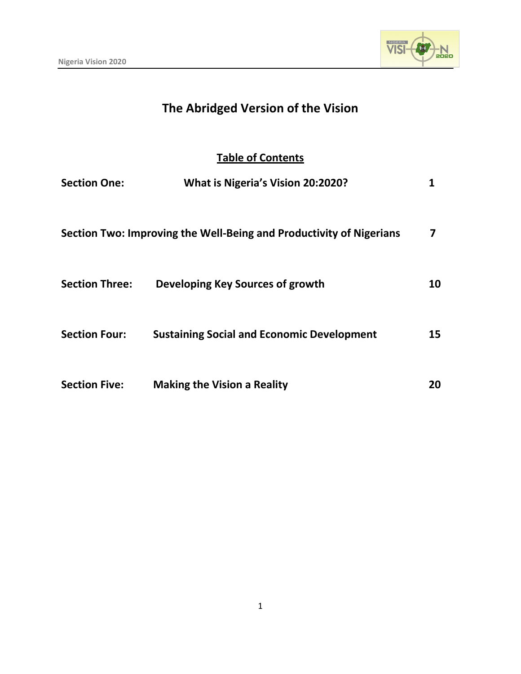

## **The Abridged Version of the Vision**

### **Table of Contents**

| <b>Section One:</b>   | What is Nigeria's Vision 20:2020?                                   | 1  |
|-----------------------|---------------------------------------------------------------------|----|
|                       | Section Two: Improving the Well-Being and Productivity of Nigerians | 7  |
| <b>Section Three:</b> | Developing Key Sources of growth                                    | 10 |
| <b>Section Four:</b>  | <b>Sustaining Social and Economic Development</b>                   | 15 |
| <b>Section Five:</b>  | <b>Making the Vision a Reality</b>                                  | 20 |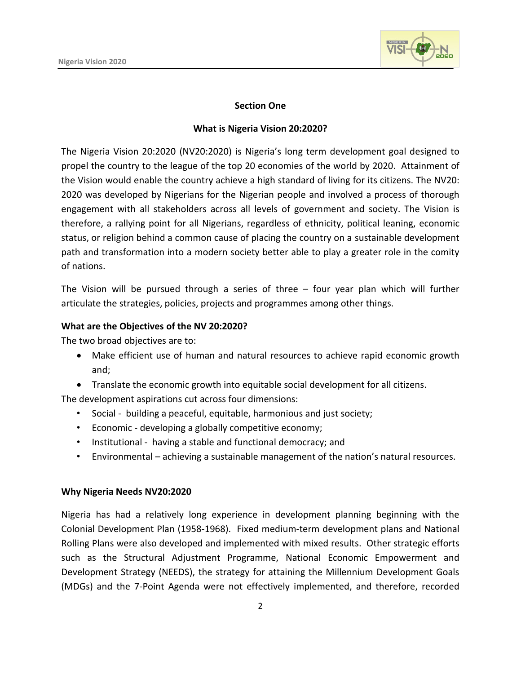

#### **Section One**

#### **What is Nigeria Vision 20:2020?**

The Nigeria Vision 20:2020 (NV20:2020) is Nigeria's long term development goal designed to propel the country to the league of the top 20 economies of the world by 2020. Attainment of the Vision would enable the country achieve a high standard of living for its citizens. The NV20: 2020 was developed by Nigerians for the Nigerian people and involved a process of thorough engagement with all stakeholders across all levels of government and society. The Vision is therefore, a rallying point for all Nigerians, regardless of ethnicity, political leaning, economic status, or religion behind a common cause of placing the country on a sustainable development path and transformation into a modern society better able to play a greater role in the comity of nations.

The Vision will be pursued through a series of three – four year plan which will further articulate the strategies, policies, projects and programmes among other things.

#### **What are the Objectives of the NV 20:2020?**

The two broad objectives are to:

- Make efficient use of human and natural resources to achieve rapid economic growth and;
- Translate the economic growth into equitable social development for all citizens.

The development aspirations cut across four dimensions:

- Social building a peaceful, equitable, harmonious and just society;
- Economic developing a globally competitive economy;
- Institutional having a stable and functional democracy; and
- Environmental achieving a sustainable management of the nation's natural resources.

#### **Why Nigeria Needs NV20:2020**

Nigeria has had a relatively long experience in development planning beginning with the Colonial Development Plan (1958-1968). Fixed medium-term development plans and National Rolling Plans were also developed and implemented with mixed results. Other strategic efforts such as the Structural Adjustment Programme, National Economic Empowerment and Development Strategy (NEEDS), the strategy for attaining the Millennium Development Goals (MDGs) and the 7-Point Agenda were not effectively implemented, and therefore, recorded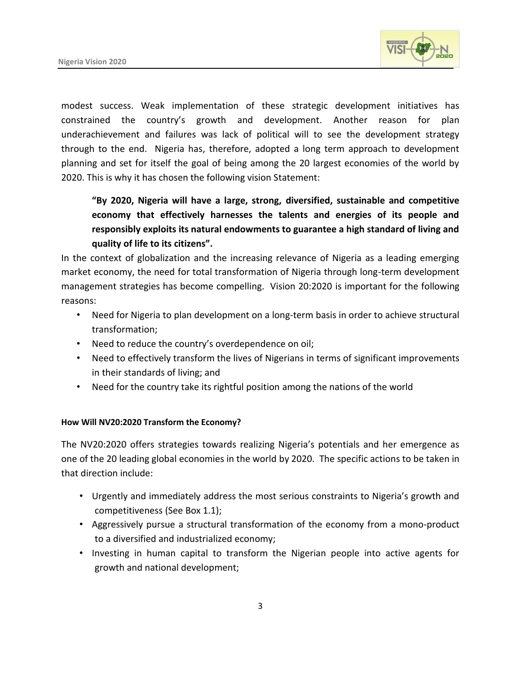

modest success. Weak implementation of these strategic development initiatives has constrained the country's growth and development. Another reason for plan underachievement and failures was lack of political will to see the development strategy through to the end. Nigeria has, therefore, adopted a long term approach to development planning and set for itself the goal of being among the 20 largest economies of the world by 2020. This is why it has chosen the following vision Statement:

**"By 2020, Nigeria will have a large, strong, diversified, sustainable and competitive economy that effectively harnesses the talents and energies of its people and responsibly exploits its natural endowments to guarantee a high standard of living and quality of life to its citizens".**

In the context of globalization and the increasing relevance of Nigeria as a leading emerging market economy, the need for total transformation of Nigeria through long-term development management strategies has become compelling. Vision 20:2020 is important for the following reasons:

- Need for Nigeria to plan development on a long-term basis in order to achieve structural transformation;
- Need to reduce the country's overdependence on oil;
- Need to effectively transform the lives of Nigerians in terms of significant improvements in their standards of living; and
- Need for the country take its rightful position among the nations of the world

#### **How Will NV20:2020 Transform the Economy?**

The NV20:2020 offers strategies towards realizing Nigeria's potentials and her emergence as one of the 20 leading global economies in the world by 2020. The specific actions to be taken in that direction include:

- Urgently and immediately address the most serious constraints to Nigeria's growth and competitiveness (See Box 1.1);
- Aggressively pursue a structural transformation of the economy from a mono-product to a diversified and industrialized economy;
- Investing in human capital to transform the Nigerian people into active agents for growth and national development;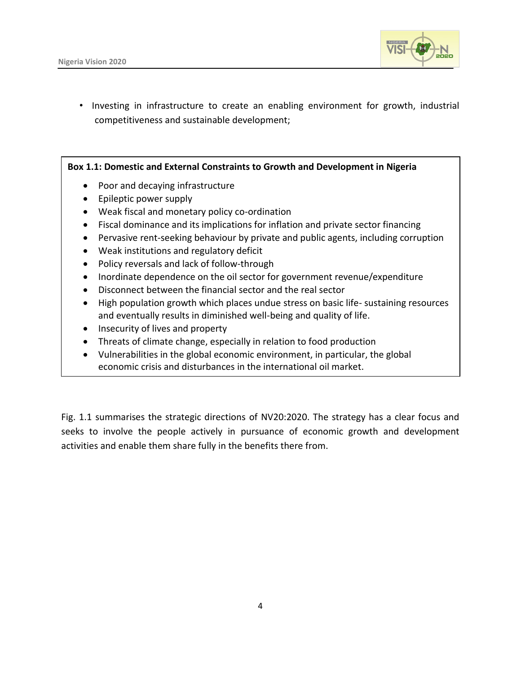

• Investing in infrastructure to create an enabling environment for growth, industrial competitiveness and sustainable development;

**Box 1.1: Domestic and External Constraints to Growth and Development in Nigeria**

- Poor and decaying infrastructure
- Epileptic power supply
- Weak fiscal and monetary policy co-ordination
- Fiscal dominance and its implications for inflation and private sector financing
- Pervasive rent-seeking behaviour by private and public agents, including corruption
- Weak institutions and regulatory deficit
- Policy reversals and lack of follow-through
- Inordinate dependence on the oil sector for government revenue/expenditure
- Disconnect between the financial sector and the real sector
- High population growth which places undue stress on basic life- sustaining resources and eventually results in diminished well-being and quality of life.
- Insecurity of lives and property
- Threats of climate change, especially in relation to food production
- Vulnerabilities in the global economic environment, in particular, the global economic crisis and disturbances in the international oil market.

Fig. 1.1 summarises the strategic directions of NV20:2020. The strategy has a clear focus and seeks to involve the people actively in pursuance of economic growth and development activities and enable them share fully in the benefits there from.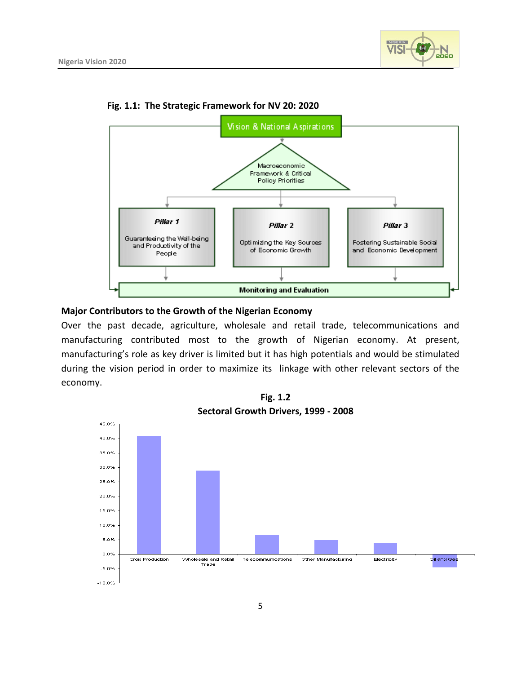



**Fig. 1.1: The Strategic Framework for NV 20: 2020**

#### **Major Contributors to the Growth of the Nigerian Economy**

Over the past decade, agriculture, wholesale and retail trade, telecommunications and manufacturing contributed most to the growth of Nigerian economy. At present, manufacturing's role as key driver is limited but it has high potentials and would be stimulated during the vision period in order to maximize its linkage with other relevant sectors of the economy.



**Fig. 1.2**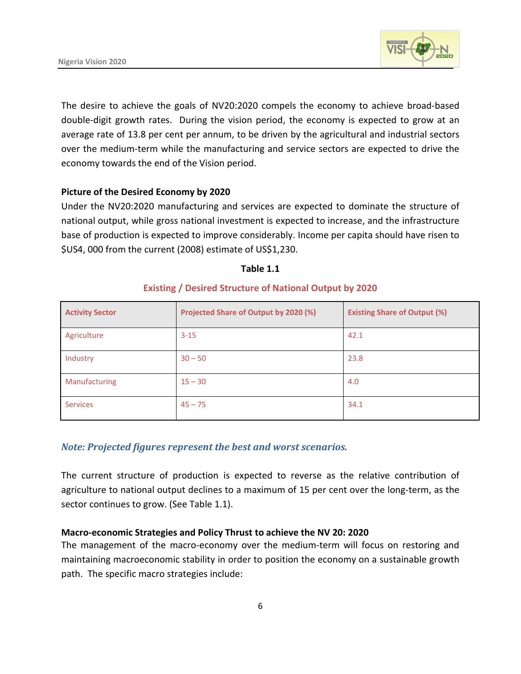

The desire to achieve the goals of NV20:2020 compels the economy to achieve broad-based double-digit growth rates. During the vision period, the economy is expected to grow at an average rate of 13.8 per cent per annum, to be driven by the agricultural and industrial sectors over the medium-term while the manufacturing and service sectors are expected to drive the economy towards the end of the Vision period.

#### **Picture of the Desired Economy by 2020**

Under the NV20:2020 manufacturing and services are expected to dominate the structure of national output, while gross national investment is expected to increase, and the infrastructure base of production is expected to improve considerably. Income per capita should have risen to \$US4, 000 from the current (2008) estimate of US\$1,230.

#### **Table 1.1**

| <b>Activity Sector</b> | Projected Share of Output by 2020 (%) | <b>Existing Share of Output (%)</b> |
|------------------------|---------------------------------------|-------------------------------------|
| Agriculture            | $3 - 15$                              | 42.1                                |
| Industry               | $30 - 50$                             | 23.8                                |
| Manufacturing          | $15 - 30$                             | 4.0                                 |
| <b>Services</b>        | $45 - 75$                             | 34.1                                |

#### **Existing / Desired Structure of National Output by 2020**

#### *Note: Projected figures represent the best and worst scenarios.*

The current structure of production is expected to reverse as the relative contribution of agriculture to national output declines to a maximum of 15 per cent over the long-term, as the sector continues to grow. (See Table 1.1).

#### **Macro-economic Strategies and Policy Thrust to achieve the NV 20: 2020**

The management of the macro-economy over the medium-term will focus on restoring and maintaining macroeconomic stability in order to position the economy on a sustainable growth path. The specific macro strategies include: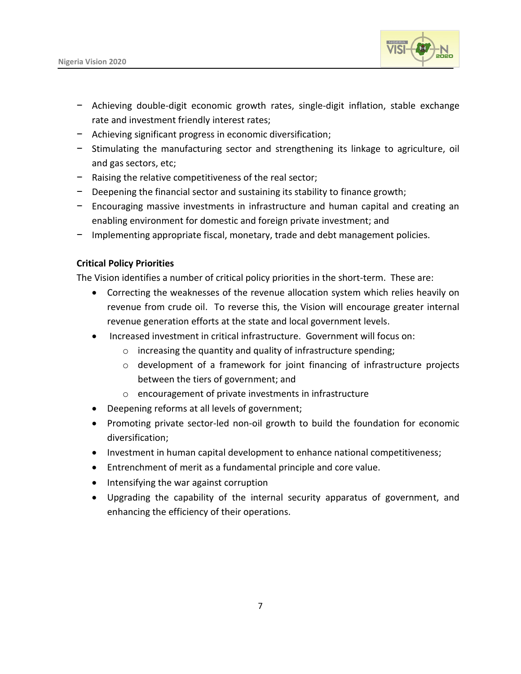

- − Achieving double-digit economic growth rates, single-digit inflation, stable exchange rate and investment friendly interest rates;
- − Achieving significant progress in economic diversification;
- − Stimulating the manufacturing sector and strengthening its linkage to agriculture, oil and gas sectors, etc;
- − Raising the relative competitiveness of the real sector;
- − Deepening the financial sector and sustaining its stability to finance growth;
- − Encouraging massive investments in infrastructure and human capital and creating an enabling environment for domestic and foreign private investment; and
- − Implementing appropriate fiscal, monetary, trade and debt management policies.

#### **Critical Policy Priorities**

The Vision identifies a number of critical policy priorities in the short-term. These are:

- Correcting the weaknesses of the revenue allocation system which relies heavily on revenue from crude oil. To reverse this, the Vision will encourage greater internal revenue generation efforts at the state and local government levels.
- Increased investment in critical infrastructure. Government will focus on:
	- o increasing the quantity and quality of infrastructure spending;
	- o development of a framework for joint financing of infrastructure projects between the tiers of government; and
	- o encouragement of private investments in infrastructure
- Deepening reforms at all levels of government;
- Promoting private sector-led non-oil growth to build the foundation for economic diversification;
- Investment in human capital development to enhance national competitiveness;
- Entrenchment of merit as a fundamental principle and core value.
- Intensifying the war against corruption
- Upgrading the capability of the internal security apparatus of government, and enhancing the efficiency of their operations.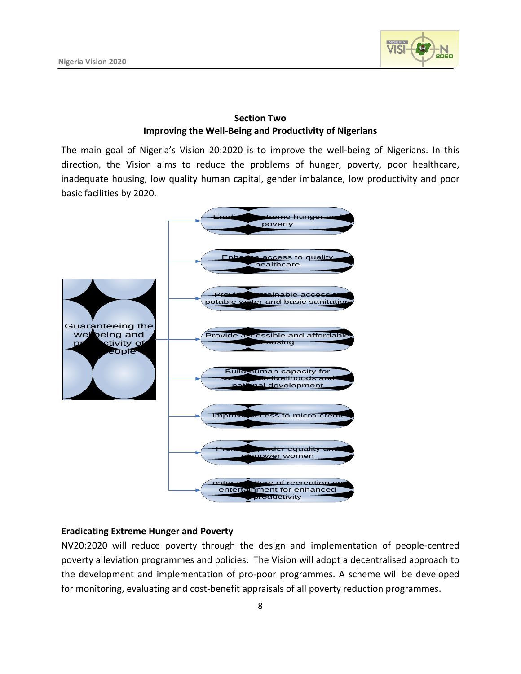

#### **Section Two 1.1 Improving the Well-Being and Productivity of Nigerians**

The main goal of Nigeria's Vision 20:2020 is to improve the well-being of Nigerians. In this direction, the Vision aims to reduce the problems of hunger, poverty, poor healthcare, inadequate housing, low quality human capital, gender imbalance, low productivity and poor basic facilities by 2020.



#### **Eradicating Extreme Hunger and Poverty**

NV20:2020 will reduce poverty through the design and implementation of people-centred poverty alleviation programmes and policies. The Vision will adopt a decentralised approach to the development and implementation of pro-poor programmes. A scheme will be developed for monitoring, evaluating and cost-benefit appraisals of all poverty reduction programmes.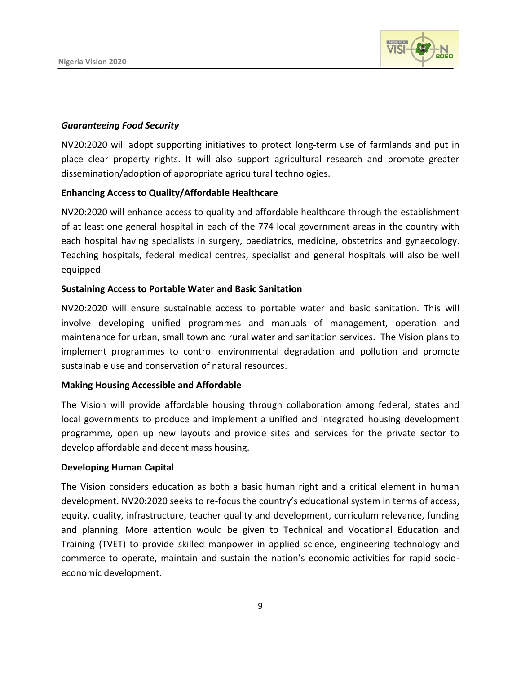

#### *Guaranteeing Food Security*

NV20:2020 will adopt supporting initiatives to protect long-term use of farmlands and put in place clear property rights. It will also support agricultural research and promote greater dissemination/adoption of appropriate agricultural technologies.

#### **Enhancing Access to Quality/Affordable Healthcare**

NV20:2020 will enhance access to quality and affordable healthcare through the establishment of at least one general hospital in each of the 774 local government areas in the country with each hospital having specialists in surgery, paediatrics, medicine, obstetrics and gynaecology. Teaching hospitals, federal medical centres, specialist and general hospitals will also be well equipped.

#### **Sustaining Access to Portable Water and Basic Sanitation**

NV20:2020 will ensure sustainable access to portable water and basic sanitation. This will involve developing unified programmes and manuals of management, operation and maintenance for urban, small town and rural water and sanitation services. The Vision plans to implement programmes to control environmental degradation and pollution and promote sustainable use and conservation of natural resources.

#### **Making Housing Accessible and Affordable**

The Vision will provide affordable housing through collaboration among federal, states and local governments to produce and implement a unified and integrated housing development programme, open up new layouts and provide sites and services for the private sector to develop affordable and decent mass housing.

#### **Developing Human Capital**

The Vision considers education as both a basic human right and a critical element in human development. NV20:2020 seeks to re-focus the country's educational system in terms of access, equity, quality, infrastructure, teacher quality and development, curriculum relevance, funding and planning. More attention would be given to Technical and Vocational Education and Training (TVET) to provide skilled manpower in applied science, engineering technology and commerce to operate, maintain and sustain the nation's economic activities for rapid socioeconomic development.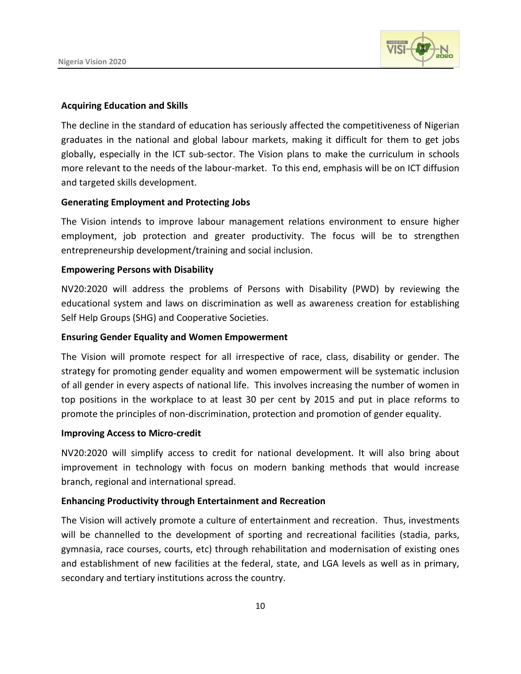

#### **Acquiring Education and Skills**

The decline in the standard of education has seriously affected the competitiveness of Nigerian graduates in the national and global labour markets, making it difficult for them to get jobs globally, especially in the ICT sub-sector. The Vision plans to make the curriculum in schools more relevant to the needs of the labour-market. To this end, emphasis will be on ICT diffusion and targeted skills development.

#### **Generating Employment and Protecting Jobs**

The Vision intends to improve labour management relations environment to ensure higher employment, job protection and greater productivity. The focus will be to strengthen entrepreneurship development/training and social inclusion.

#### **Empowering Persons with Disability**

NV20:2020 will address the problems of Persons with Disability (PWD) by reviewing the educational system and laws on discrimination as well as awareness creation for establishing Self Help Groups (SHG) and Cooperative Societies.

#### **Ensuring Gender Equality and Women Empowerment**

The Vision will promote respect for all irrespective of race, class, disability or gender. The strategy for promoting gender equality and women empowerment will be systematic inclusion of all gender in every aspects of national life. This involves increasing the number of women in top positions in the workplace to at least 30 per cent by 2015 and put in place reforms to promote the principles of non-discrimination, protection and promotion of gender equality.

#### **Improving Access to Micro-credit**

NV20:2020 will simplify access to credit for national development. It will also bring about improvement in technology with focus on modern banking methods that would increase branch, regional and international spread.

#### **Enhancing Productivity through Entertainment and Recreation**

The Vision will actively promote a culture of entertainment and recreation. Thus, investments will be channelled to the development of sporting and recreational facilities (stadia, parks, gymnasia, race courses, courts, etc) through rehabilitation and modernisation of existing ones and establishment of new facilities at the federal, state, and LGA levels as well as in primary, secondary and tertiary institutions across the country.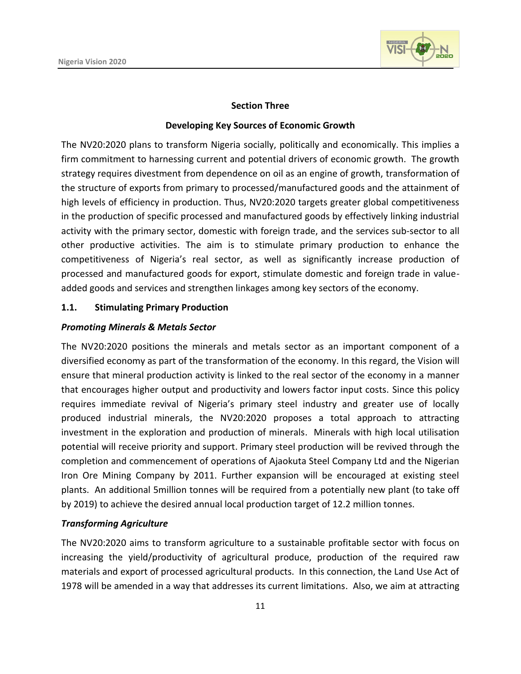

#### **Section Three**

#### **Developing Key Sources of Economic Growth**

The NV20:2020 plans to transform Nigeria socially, politically and economically. This implies a firm commitment to harnessing current and potential drivers of economic growth. The growth strategy requires divestment from dependence on oil as an engine of growth, transformation of the structure of exports from primary to processed/manufactured goods and the attainment of high levels of efficiency in production. Thus, NV20:2020 targets greater global competitiveness in the production of specific processed and manufactured goods by effectively linking industrial activity with the primary sector, domestic with foreign trade, and the services sub-sector to all other productive activities. The aim is to stimulate primary production to enhance the competitiveness of Nigeria's real sector, as well as significantly increase production of processed and manufactured goods for export, stimulate domestic and foreign trade in valueadded goods and services and strengthen linkages among key sectors of the economy.

#### **1.1. Stimulating Primary Production**

#### *Promoting Minerals & Metals Sector*

The NV20:2020 positions the minerals and metals sector as an important component of a diversified economy as part of the transformation of the economy. In this regard, the Vision will ensure that mineral production activity is linked to the real sector of the economy in a manner that encourages higher output and productivity and lowers factor input costs. Since this policy requires immediate revival of Nigeria's primary steel industry and greater use of locally produced industrial minerals, the NV20:2020 proposes a total approach to attracting investment in the exploration and production of minerals. Minerals with high local utilisation potential will receive priority and support. Primary steel production will be revived through the completion and commencement of operations of Ajaokuta Steel Company Ltd and the Nigerian Iron Ore Mining Company by 2011. Further expansion will be encouraged at existing steel plants. An additional 5million tonnes will be required from a potentially new plant (to take off by 2019) to achieve the desired annual local production target of 12.2 million tonnes.

#### *Transforming Agriculture*

The NV20:2020 aims to transform agriculture to a sustainable profitable sector with focus on increasing the yield/productivity of agricultural produce, production of the required raw materials and export of processed agricultural products. In this connection, the Land Use Act of 1978 will be amended in a way that addresses its current limitations. Also, we aim at attracting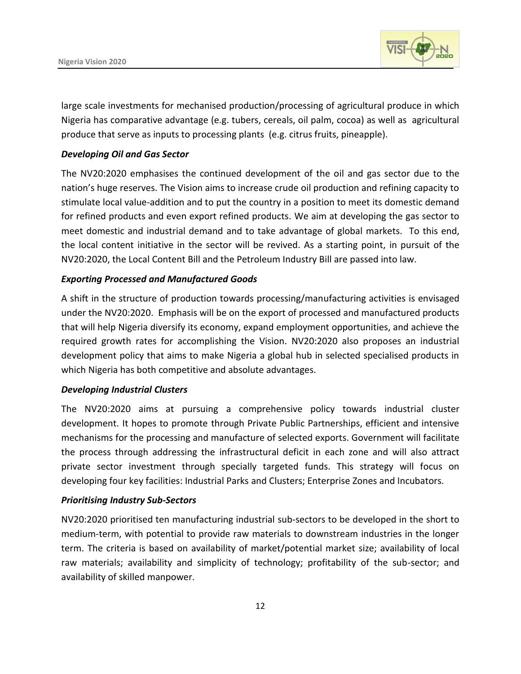

large scale investments for mechanised production/processing of agricultural produce in which Nigeria has comparative advantage (e.g. tubers, cereals, oil palm, cocoa) as well as agricultural produce that serve as inputs to processing plants (e.g. citrus fruits, pineapple).

#### *Developing Oil and Gas Sector*

The NV20:2020 emphasises the continued development of the oil and gas sector due to the nation's huge reserves. The Vision aims to increase crude oil production and refining capacity to stimulate local value-addition and to put the country in a position to meet its domestic demand for refined products and even export refined products. We aim at developing the gas sector to meet domestic and industrial demand and to take advantage of global markets. To this end, the local content initiative in the sector will be revived. As a starting point, in pursuit of the NV20:2020, the Local Content Bill and the Petroleum Industry Bill are passed into law.

#### *Exporting Processed and Manufactured Goods*

A shift in the structure of production towards processing/manufacturing activities is envisaged under the NV20:2020. Emphasis will be on the export of processed and manufactured products that will help Nigeria diversify its economy, expand employment opportunities, and achieve the required growth rates for accomplishing the Vision. NV20:2020 also proposes an industrial development policy that aims to make Nigeria a global hub in selected specialised products in which Nigeria has both competitive and absolute advantages.

#### *Developing Industrial Clusters*

The NV20:2020 aims at pursuing a comprehensive policy towards industrial cluster development. It hopes to promote through Private Public Partnerships, efficient and intensive mechanisms for the processing and manufacture of selected exports. Government will facilitate the process through addressing the infrastructural deficit in each zone and will also attract private sector investment through specially targeted funds. This strategy will focus on developing four key facilities: Industrial Parks and Clusters; Enterprise Zones and Incubators.

#### *Prioritising Industry Sub-Sectors*

NV20:2020 prioritised ten manufacturing industrial sub-sectors to be developed in the short to medium-term, with potential to provide raw materials to downstream industries in the longer term. The criteria is based on availability of market/potential market size; availability of local raw materials; availability and simplicity of technology; profitability of the sub-sector; and availability of skilled manpower.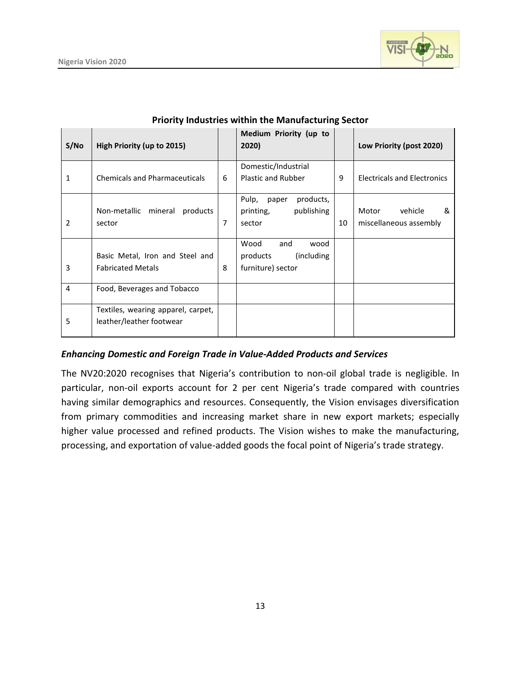

| S/No           | High Priority (up to 2015)                                     |   | Medium Priority (up to<br>2020)                                     |    | Low Priority (post 2020)                        |
|----------------|----------------------------------------------------------------|---|---------------------------------------------------------------------|----|-------------------------------------------------|
| 1              | <b>Chemicals and Pharmaceuticals</b>                           | 6 | Domestic/Industrial<br><b>Plastic and Rubber</b>                    | 9  | <b>Electricals and Electronics</b>              |
| 2              | Non-metallic<br>mineral<br>products<br>sector                  | 7 | products,<br>Pulp,<br>paper<br>publishing<br>printing,<br>sector    | 10 | vehicle<br>Motor<br>&<br>miscellaneous assembly |
| 3              | Basic Metal, Iron and Steel and<br><b>Fabricated Metals</b>    | 8 | Wood<br>and<br>wood<br>(including)<br>products<br>furniture) sector |    |                                                 |
| $\overline{4}$ | Food, Beverages and Tobacco                                    |   |                                                                     |    |                                                 |
| 5              | Textiles, wearing apparel, carpet,<br>leather/leather footwear |   |                                                                     |    |                                                 |

#### **Priority Industries within the Manufacturing Sector**

#### *Enhancing Domestic and Foreign Trade in Value-Added Products and Services*

The NV20:2020 recognises that Nigeria's contribution to non-oil global trade is negligible. In particular, non-oil exports account for 2 per cent Nigeria's trade compared with countries having similar demographics and resources. Consequently, the Vision envisages diversification from primary commodities and increasing market share in new export markets; especially higher value processed and refined products. The Vision wishes to make the manufacturing, processing, and exportation of value-added goods the focal point of Nigeria's trade strategy.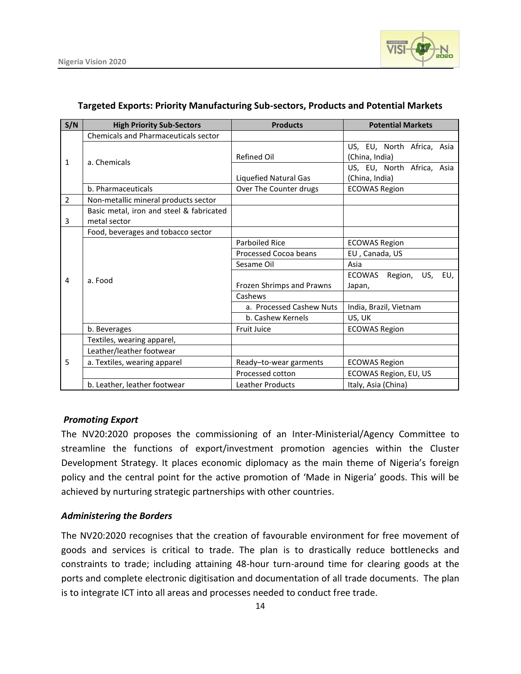

| S/N            | <b>High Priority Sub-Sectors</b>            | <b>Products</b>           | <b>Potential Markets</b>         |
|----------------|---------------------------------------------|---------------------------|----------------------------------|
|                | <b>Chemicals and Pharmaceuticals sector</b> |                           |                                  |
| 1              |                                             |                           | US, EU, North Africa, Asia       |
|                | a. Chemicals                                | <b>Refined Oil</b>        | (China, India)                   |
|                |                                             |                           | US, EU, North Africa, Asia       |
|                |                                             | Liquefied Natural Gas     | (China, India)                   |
|                | b. Pharmaceuticals                          | Over The Counter drugs    | <b>ECOWAS Region</b>             |
| $\overline{2}$ | Non-metallic mineral products sector        |                           |                                  |
|                | Basic metal, iron and steel & fabricated    |                           |                                  |
| 3              | metal sector                                |                           |                                  |
|                | Food, beverages and tobacco sector          |                           |                                  |
|                | a. Food                                     | Parboiled Rice            | <b>ECOWAS Region</b>             |
|                |                                             | Processed Cocoa beans     | EU, Canada, US                   |
| $\overline{4}$ |                                             | Sesame Oil                | Asia                             |
|                |                                             |                           | Region, US, EU,<br><b>ECOWAS</b> |
|                |                                             | Frozen Shrimps and Prawns | Japan,                           |
|                |                                             | Cashews                   |                                  |
|                |                                             | a. Processed Cashew Nuts  | India, Brazil, Vietnam           |
|                |                                             | b. Cashew Kernels         | US, UK                           |
|                | b. Beverages                                | <b>Fruit Juice</b>        | <b>ECOWAS Region</b>             |
|                | Textiles, wearing apparel,                  |                           |                                  |
| 5              | Leather/leather footwear                    |                           |                                  |
|                | a. Textiles, wearing apparel                | Ready-to-wear garments    | <b>ECOWAS Region</b>             |
|                |                                             | Processed cotton          | ECOWAS Region, EU, US            |
|                | b. Leather, leather footwear                | <b>Leather Products</b>   | Italy, Asia (China)              |

#### **Targeted Exports: Priority Manufacturing Sub-sectors, Products and Potential Markets**

#### *Promoting Export*

The NV20:2020 proposes the commissioning of an Inter-Ministerial/Agency Committee to streamline the functions of export/investment promotion agencies within the Cluster Development Strategy. It places economic diplomacy as the main theme of Nigeria's foreign policy and the central point for the active promotion of 'Made in Nigeria' goods. This will be achieved by nurturing strategic partnerships with other countries.

#### *Administering the Borders*

The NV20:2020 recognises that the creation of favourable environment for free movement of goods and services is critical to trade. The plan is to drastically reduce bottlenecks and constraints to trade; including attaining 48-hour turn-around time for clearing goods at the ports and complete electronic digitisation and documentation of all trade documents. The plan is to integrate ICT into all areas and processes needed to conduct free trade.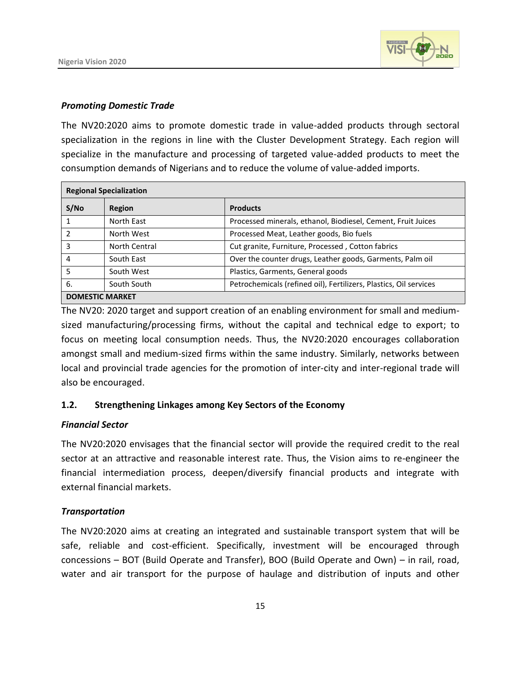

#### *Promoting Domestic Trade*

The NV20:2020 aims to promote domestic trade in value-added products through sectoral specialization in the regions in line with the Cluster Development Strategy. Each region will specialize in the manufacture and processing of targeted value-added products to meet the consumption demands of Nigerians and to reduce the volume of value-added imports.

| <b>Regional Specialization</b> |               |                                                                   |  |
|--------------------------------|---------------|-------------------------------------------------------------------|--|
| S/NO                           | Region        | <b>Products</b>                                                   |  |
|                                | North East    | Processed minerals, ethanol, Biodiesel, Cement, Fruit Juices      |  |
|                                | North West    | Processed Meat, Leather goods, Bio fuels                          |  |
|                                | North Central | Cut granite, Furniture, Processed, Cotton fabrics                 |  |
| 4                              | South East    | Over the counter drugs, Leather goods, Garments, Palm oil         |  |
| 5                              | South West    | Plastics, Garments, General goods                                 |  |
| 6.                             | South South   | Petrochemicals (refined oil), Fertilizers, Plastics, Oil services |  |
| <b>DOMESTIC MARKET</b>         |               |                                                                   |  |

The NV20: 2020 target and support creation of an enabling environment for small and mediumsized manufacturing/processing firms, without the capital and technical edge to export; to focus on meeting local consumption needs. Thus, the NV20:2020 encourages collaboration amongst small and medium-sized firms within the same industry. Similarly, networks between local and provincial trade agencies for the promotion of inter-city and inter-regional trade will also be encouraged.

#### **1.2. Strengthening Linkages among Key Sectors of the Economy**

#### *Financial Sector*

The NV20:2020 envisages that the financial sector will provide the required credit to the real sector at an attractive and reasonable interest rate. Thus, the Vision aims to re-engineer the financial intermediation process, deepen/diversify financial products and integrate with external financial markets.

#### *Transportation*

The NV20:2020 aims at creating an integrated and sustainable transport system that will be safe, reliable and cost-efficient. Specifically, investment will be encouraged through concessions – BOT (Build Operate and Transfer), BOO (Build Operate and Own) – in rail, road, water and air transport for the purpose of haulage and distribution of inputs and other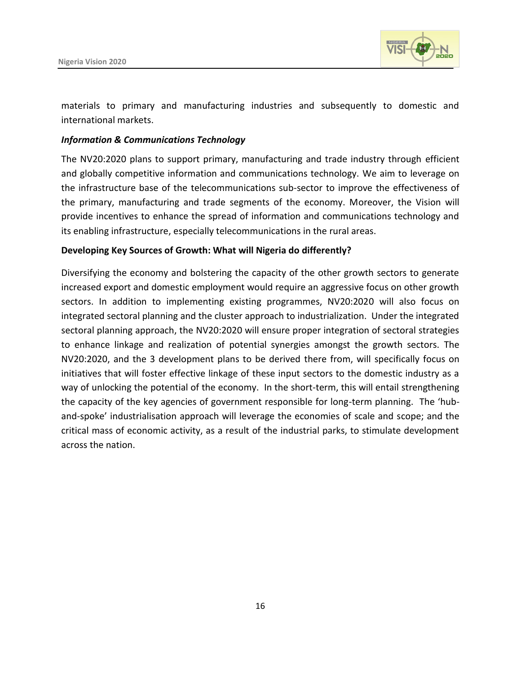

materials to primary and manufacturing industries and subsequently to domestic and international markets.

#### *Information & Communications Technology*

The NV20:2020 plans to support primary, manufacturing and trade industry through efficient and globally competitive information and communications technology. We aim to leverage on the infrastructure base of the telecommunications sub-sector to improve the effectiveness of the primary, manufacturing and trade segments of the economy. Moreover, the Vision will provide incentives to enhance the spread of information and communications technology and its enabling infrastructure, especially telecommunications in the rural areas.

#### **Developing Key Sources of Growth: What will Nigeria do differently?**

Diversifying the economy and bolstering the capacity of the other growth sectors to generate increased export and domestic employment would require an aggressive focus on other growth sectors. In addition to implementing existing programmes, NV20:2020 will also focus on integrated sectoral planning and the cluster approach to industrialization. Under the integrated sectoral planning approach, the NV20:2020 will ensure proper integration of sectoral strategies to enhance linkage and realization of potential synergies amongst the growth sectors. The NV20:2020, and the 3 development plans to be derived there from, will specifically focus on initiatives that will foster effective linkage of these input sectors to the domestic industry as a way of unlocking the potential of the economy. In the short-term, this will entail strengthening the capacity of the key agencies of government responsible for long-term planning. The 'huband-spoke' industrialisation approach will leverage the economies of scale and scope; and the critical mass of economic activity, as a result of the industrial parks, to stimulate development across the nation.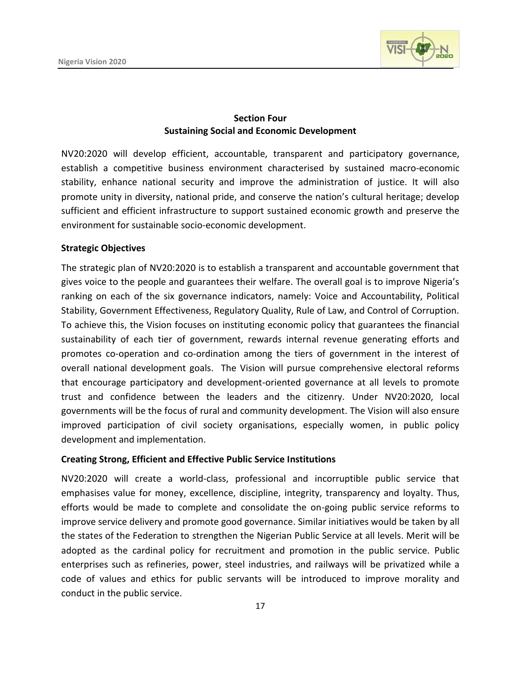

#### **Section Four Sustaining Social and Economic Development**

NV20:2020 will develop efficient, accountable, transparent and participatory governance, establish a competitive business environment characterised by sustained macro-economic stability, enhance national security and improve the administration of justice. It will also promote unity in diversity, national pride, and conserve the nation's cultural heritage; develop sufficient and efficient infrastructure to support sustained economic growth and preserve the environment for sustainable socio-economic development.

#### **Strategic Objectives**

The strategic plan of NV20:2020 is to establish a transparent and accountable government that gives voice to the people and guarantees their welfare. The overall goal is to improve Nigeria's ranking on each of the six governance indicators, namely: Voice and Accountability, Political Stability, Government Effectiveness, Regulatory Quality, Rule of Law, and Control of Corruption. To achieve this, the Vision focuses on instituting economic policy that guarantees the financial sustainability of each tier of government, rewards internal revenue generating efforts and promotes co-operation and co-ordination among the tiers of government in the interest of overall national development goals. The Vision will pursue comprehensive electoral reforms that encourage participatory and development-oriented governance at all levels to promote trust and confidence between the leaders and the citizenry. Under NV20:2020, local governments will be the focus of rural and community development. The Vision will also ensure improved participation of civil society organisations, especially women, in public policy development and implementation.

#### **Creating Strong, Efficient and Effective Public Service Institutions**

NV20:2020 will create a world-class, professional and incorruptible public service that emphasises value for money, excellence, discipline, integrity, transparency and loyalty. Thus, efforts would be made to complete and consolidate the on-going public service reforms to improve service delivery and promote good governance. Similar initiatives would be taken by all the states of the Federation to strengthen the Nigerian Public Service at all levels. Merit will be adopted as the cardinal policy for recruitment and promotion in the public service. Public enterprises such as refineries, power, steel industries, and railways will be privatized while a code of values and ethics for public servants will be introduced to improve morality and conduct in the public service.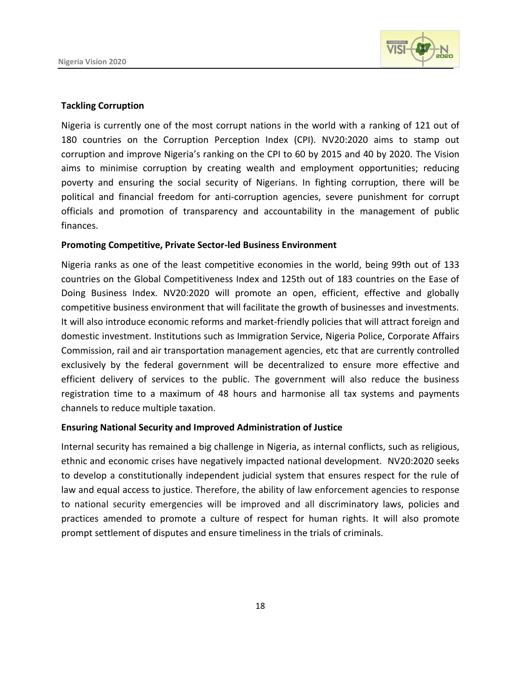

#### **Tackling Corruption**

Nigeria is currently one of the most corrupt nations in the world with a ranking of 121 out of 180 countries on the Corruption Perception Index (CPI). NV20:2020 aims to stamp out corruption and improve Nigeria's ranking on the CPI to 60 by 2015 and 40 by 2020. The Vision aims to minimise corruption by creating wealth and employment opportunities; reducing poverty and ensuring the social security of Nigerians. In fighting corruption, there will be political and financial freedom for anti-corruption agencies, severe punishment for corrupt officials and promotion of transparency and accountability in the management of public finances.

#### **Promoting Competitive, Private Sector-led Business Environment**

Nigeria ranks as one of the least competitive economies in the world, being 99th out of 133 countries on the Global Competitiveness Index and 125th out of 183 countries on the Ease of Doing Business Index. NV20:2020 will promote an open, efficient, effective and globally competitive business environment that will facilitate the growth of businesses and investments. It will also introduce economic reforms and market-friendly policies that will attract foreign and domestic investment. Institutions such as Immigration Service, Nigeria Police, Corporate Affairs Commission, rail and air transportation management agencies, etc that are currently controlled exclusively by the federal government will be decentralized to ensure more effective and efficient delivery of services to the public. The government will also reduce the business registration time to a maximum of 48 hours and harmonise all tax systems and payments channels to reduce multiple taxation.

#### **Ensuring National Security and Improved Administration of Justice**

Internal security has remained a big challenge in Nigeria, as internal conflicts, such as religious, ethnic and economic crises have negatively impacted national development. NV20:2020 seeks to develop a constitutionally independent judicial system that ensures respect for the rule of law and equal access to justice. Therefore, the ability of law enforcement agencies to response to national security emergencies will be improved and all discriminatory laws, policies and practices amended to promote a culture of respect for human rights. It will also promote prompt settlement of disputes and ensure timeliness in the trials of criminals.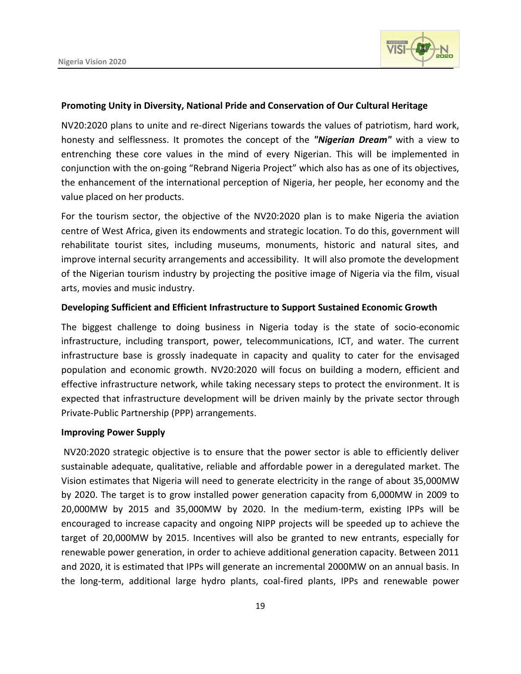

#### **Promoting Unity in Diversity, National Pride and Conservation of Our Cultural Heritage**

NV20:2020 plans to unite and re-direct Nigerians towards the values of patriotism, hard work, honesty and selflessness. It promotes the concept of the *"Nigerian Dream"* with a view to entrenching these core values in the mind of every Nigerian. This will be implemented in conjunction with the on-going "Rebrand Nigeria Project" which also has as one of its objectives, the enhancement of the international perception of Nigeria, her people, her economy and the value placed on her products.

For the tourism sector, the objective of the NV20:2020 plan is to make Nigeria the aviation centre of West Africa, given its endowments and strategic location. To do this, government will rehabilitate tourist sites, including museums, monuments, historic and natural sites, and improve internal security arrangements and accessibility. It will also promote the development of the Nigerian tourism industry by projecting the positive image of Nigeria via the film, visual arts, movies and music industry.

#### **Developing Sufficient and Efficient Infrastructure to Support Sustained Economic Growth**

The biggest challenge to doing business in Nigeria today is the state of socio-economic infrastructure, including transport, power, telecommunications, ICT, and water. The current infrastructure base is grossly inadequate in capacity and quality to cater for the envisaged population and economic growth. NV20:2020 will focus on building a modern, efficient and effective infrastructure network, while taking necessary steps to protect the environment. It is expected that infrastructure development will be driven mainly by the private sector through Private-Public Partnership (PPP) arrangements.

#### **Improving Power Supply**

NV20:2020 strategic objective is to ensure that the power sector is able to efficiently deliver sustainable adequate, qualitative, reliable and affordable power in a deregulated market. The Vision estimates that Nigeria will need to generate electricity in the range of about 35,000MW by 2020. The target is to grow installed power generation capacity from 6,000MW in 2009 to 20,000MW by 2015 and 35,000MW by 2020. In the medium-term, existing IPPs will be encouraged to increase capacity and ongoing NIPP projects will be speeded up to achieve the target of 20,000MW by 2015. Incentives will also be granted to new entrants, especially for renewable power generation, in order to achieve additional generation capacity. Between 2011 and 2020, it is estimated that IPPs will generate an incremental 2000MW on an annual basis. In the long-term, additional large hydro plants, coal-fired plants, IPPs and renewable power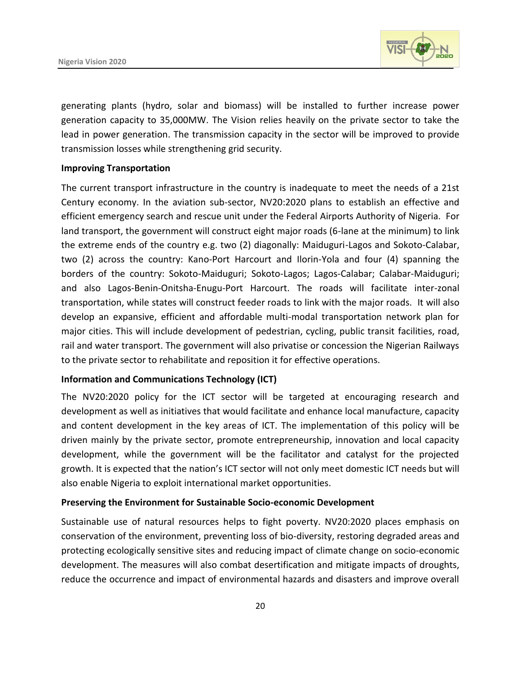

generating plants (hydro, solar and biomass) will be installed to further increase power generation capacity to 35,000MW. The Vision relies heavily on the private sector to take the lead in power generation. The transmission capacity in the sector will be improved to provide transmission losses while strengthening grid security.

#### **Improving Transportation**

The current transport infrastructure in the country is inadequate to meet the needs of a 21st Century economy. In the aviation sub-sector, NV20:2020 plans to establish an effective and efficient emergency search and rescue unit under the Federal Airports Authority of Nigeria. For land transport, the government will construct eight major roads (6-lane at the minimum) to link the extreme ends of the country e.g. two (2) diagonally: Maiduguri-Lagos and Sokoto-Calabar, two (2) across the country: Kano-Port Harcourt and Ilorin-Yola and four (4) spanning the borders of the country: Sokoto-Maiduguri; Sokoto-Lagos; Lagos-Calabar; Calabar-Maiduguri; and also Lagos-Benin-Onitsha-Enugu-Port Harcourt. The roads will facilitate inter-zonal transportation, while states will construct feeder roads to link with the major roads. It will also develop an expansive, efficient and affordable multi-modal transportation network plan for major cities. This will include development of pedestrian, cycling, public transit facilities, road, rail and water transport. The government will also privatise or concession the Nigerian Railways to the private sector to rehabilitate and reposition it for effective operations.

#### **Information and Communications Technology (ICT)**

The NV20:2020 policy for the ICT sector will be targeted at encouraging research and development as well as initiatives that would facilitate and enhance local manufacture, capacity and content development in the key areas of ICT. The implementation of this policy will be driven mainly by the private sector, promote entrepreneurship, innovation and local capacity development, while the government will be the facilitator and catalyst for the projected growth. It is expected that the nation's ICT sector will not only meet domestic ICT needs but will also enable Nigeria to exploit international market opportunities.

#### **Preserving the Environment for Sustainable Socio-economic Development**

Sustainable use of natural resources helps to fight poverty. NV20:2020 places emphasis on conservation of the environment, preventing loss of bio-diversity, restoring degraded areas and protecting ecologically sensitive sites and reducing impact of climate change on socio-economic development. The measures will also combat desertification and mitigate impacts of droughts, reduce the occurrence and impact of environmental hazards and disasters and improve overall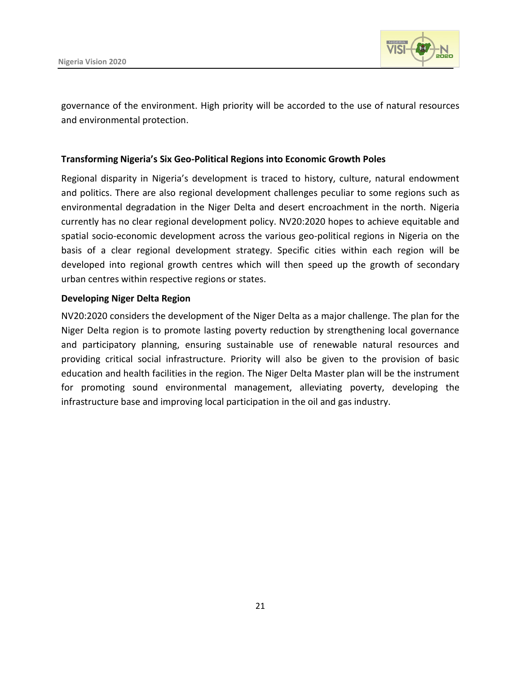

governance of the environment. High priority will be accorded to the use of natural resources and environmental protection.

#### **Transforming Nigeria's Six Geo-Political Regions into Economic Growth Poles**

Regional disparity in Nigeria's development is traced to history, culture, natural endowment and politics. There are also regional development challenges peculiar to some regions such as environmental degradation in the Niger Delta and desert encroachment in the north. Nigeria currently has no clear regional development policy. NV20:2020 hopes to achieve equitable and spatial socio-economic development across the various geo-political regions in Nigeria on the basis of a clear regional development strategy. Specific cities within each region will be developed into regional growth centres which will then speed up the growth of secondary urban centres within respective regions or states.

#### **Developing Niger Delta Region**

NV20:2020 considers the development of the Niger Delta as a major challenge. The plan for the Niger Delta region is to promote lasting poverty reduction by strengthening local governance and participatory planning, ensuring sustainable use of renewable natural resources and providing critical social infrastructure. Priority will also be given to the provision of basic education and health facilities in the region. The Niger Delta Master plan will be the instrument for promoting sound environmental management, alleviating poverty, developing the infrastructure base and improving local participation in the oil and gas industry.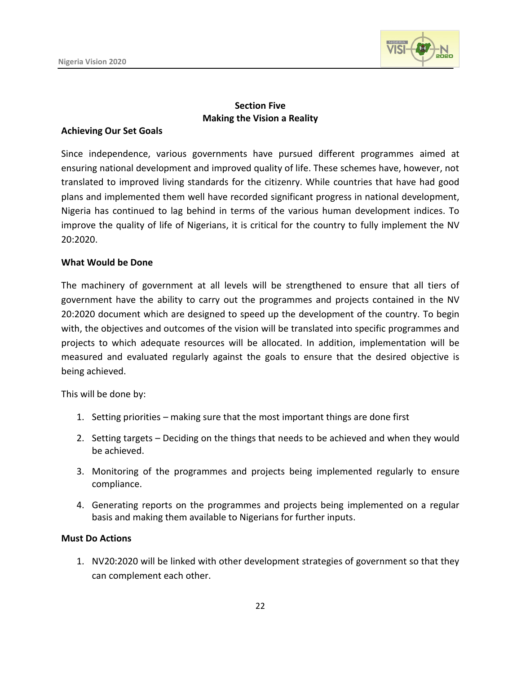

#### **Section Five Making the Vision a Reality**

#### **Achieving Our Set Goals**

Since independence, various governments have pursued different programmes aimed at ensuring national development and improved quality of life. These schemes have, however, not translated to improved living standards for the citizenry. While countries that have had good plans and implemented them well have recorded significant progress in national development, Nigeria has continued to lag behind in terms of the various human development indices. To improve the quality of life of Nigerians, it is critical for the country to fully implement the NV 20:2020.

#### **What Would be Done**

The machinery of government at all levels will be strengthened to ensure that all tiers of government have the ability to carry out the programmes and projects contained in the NV 20:2020 document which are designed to speed up the development of the country. To begin with, the objectives and outcomes of the vision will be translated into specific programmes and projects to which adequate resources will be allocated. In addition, implementation will be measured and evaluated regularly against the goals to ensure that the desired objective is being achieved.

This will be done by:

- 1. Setting priorities making sure that the most important things are done first
- 2. Setting targets Deciding on the things that needs to be achieved and when they would be achieved.
- 3. Monitoring of the programmes and projects being implemented regularly to ensure compliance.
- 4. Generating reports on the programmes and projects being implemented on a regular basis and making them available to Nigerians for further inputs.

#### **Must Do Actions**

1. NV20:2020 will be linked with other development strategies of government so that they can complement each other.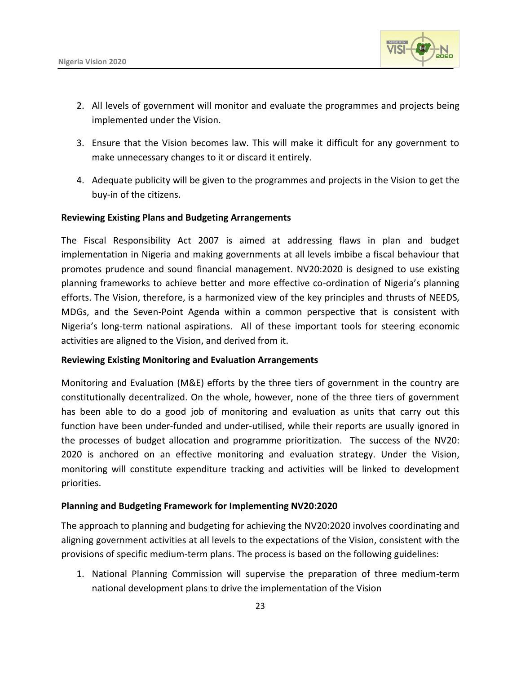

- 2. All levels of government will monitor and evaluate the programmes and projects being implemented under the Vision.
- 3. Ensure that the Vision becomes law. This will make it difficult for any government to make unnecessary changes to it or discard it entirely.
- 4. Adequate publicity will be given to the programmes and projects in the Vision to get the buy-in of the citizens.

#### **Reviewing Existing Plans and Budgeting Arrangements**

The Fiscal Responsibility Act 2007 is aimed at addressing flaws in plan and budget implementation in Nigeria and making governments at all levels imbibe a fiscal behaviour that promotes prudence and sound financial management. NV20:2020 is designed to use existing planning frameworks to achieve better and more effective co-ordination of Nigeria's planning efforts. The Vision, therefore, is a harmonized view of the key principles and thrusts of NEEDS, MDGs, and the Seven-Point Agenda within a common perspective that is consistent with Nigeria's long-term national aspirations. All of these important tools for steering economic activities are aligned to the Vision, and derived from it.

#### **Reviewing Existing Monitoring and Evaluation Arrangements**

Monitoring and Evaluation (M&E) efforts by the three tiers of government in the country are constitutionally decentralized. On the whole, however, none of the three tiers of government has been able to do a good job of monitoring and evaluation as units that carry out this function have been under-funded and under-utilised, while their reports are usually ignored in the processes of budget allocation and programme prioritization. The success of the NV20: 2020 is anchored on an effective monitoring and evaluation strategy. Under the Vision, monitoring will constitute expenditure tracking and activities will be linked to development priorities.

#### **Planning and Budgeting Framework for Implementing NV20:2020**

The approach to planning and budgeting for achieving the NV20:2020 involves coordinating and aligning government activities at all levels to the expectations of the Vision, consistent with the provisions of specific medium-term plans. The process is based on the following guidelines:

1. National Planning Commission will supervise the preparation of three medium-term national development plans to drive the implementation of the Vision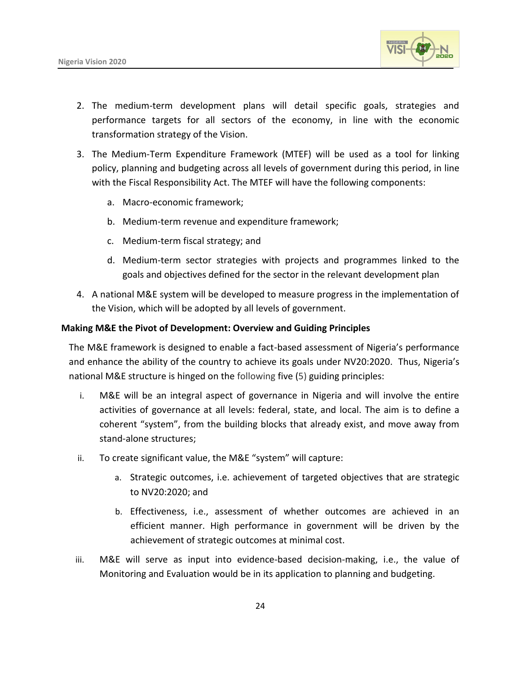

- 2. The medium-term development plans will detail specific goals, strategies and performance targets for all sectors of the economy, in line with the economic transformation strategy of the Vision.
- 3. The Medium-Term Expenditure Framework (MTEF) will be used as a tool for linking policy, planning and budgeting across all levels of government during this period, in line with the Fiscal Responsibility Act. The MTEF will have the following components:
	- a. Macro-economic framework;
	- b. Medium-term revenue and expenditure framework;
	- c. Medium-term fiscal strategy; and
	- d. Medium-term sector strategies with projects and programmes linked to the goals and objectives defined for the sector in the relevant development plan
- 4. A national M&E system will be developed to measure progress in the implementation of the Vision, which will be adopted by all levels of government.

#### **Making M&E the Pivot of Development: Overview and Guiding Principles**

The M&E framework is designed to enable a fact-based assessment of Nigeria's performance and enhance the ability of the country to achieve its goals under NV20:2020. Thus, Nigeria's national M&E structure is hinged on the following five (5) guiding principles:

- i. M&E will be an integral aspect of governance in Nigeria and will involve the entire activities of governance at all levels: federal, state, and local. The aim is to define a coherent "system", from the building blocks that already exist, and move away from stand-alone structures;
- ii. To create significant value, the M&E "system" will capture:
	- a. Strategic outcomes, i.e. achievement of targeted objectives that are strategic to NV20:2020; and
	- b. Effectiveness, i.e., assessment of whether outcomes are achieved in an efficient manner. High performance in government will be driven by the achievement of strategic outcomes at minimal cost.
- iii. M&E will serve as input into evidence-based decision-making, i.e., the value of Monitoring and Evaluation would be in its application to planning and budgeting.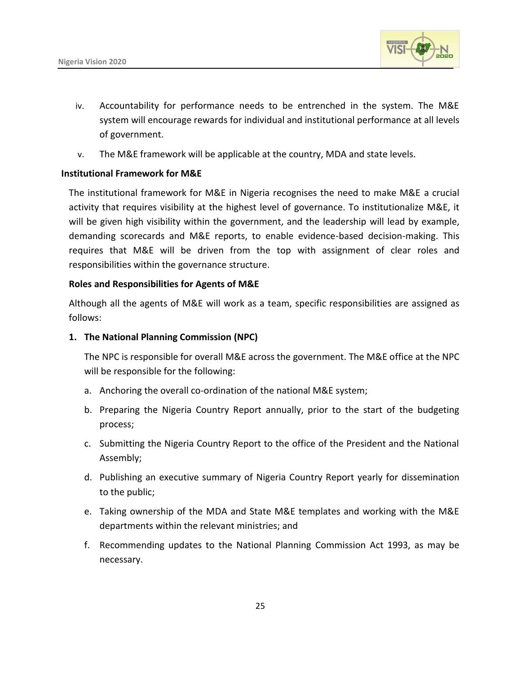

- iv. Accountability for performance needs to be entrenched in the system. The M&E system will encourage rewards for individual and institutional performance at all levels of government.
- v. The M&E framework will be applicable at the country, MDA and state levels.

#### **Institutional Framework for M&E**

The institutional framework for M&E in Nigeria recognises the need to make M&E a crucial activity that requires visibility at the highest level of governance. To institutionalize M&E, it will be given high visibility within the government, and the leadership will lead by example, demanding scorecards and M&E reports, to enable evidence-based decision-making. This requires that M&E will be driven from the top with assignment of clear roles and responsibilities within the governance structure.

#### **Roles and Responsibilities for Agents of M&E**

Although all the agents of M&E will work as a team, specific responsibilities are assigned as follows:

#### **1. The National Planning Commission (NPC)**

The NPC is responsible for overall M&E across the government. The M&E office at the NPC will be responsible for the following:

- a. Anchoring the overall co-ordination of the national M&E system;
- b. Preparing the Nigeria Country Report annually, prior to the start of the budgeting process;
- c. Submitting the Nigeria Country Report to the office of the President and the National Assembly;
- d. Publishing an executive summary of Nigeria Country Report yearly for dissemination to the public;
- e. Taking ownership of the MDA and State M&E templates and working with the M&E departments within the relevant ministries; and
- f. Recommending updates to the National Planning Commission Act 1993, as may be necessary.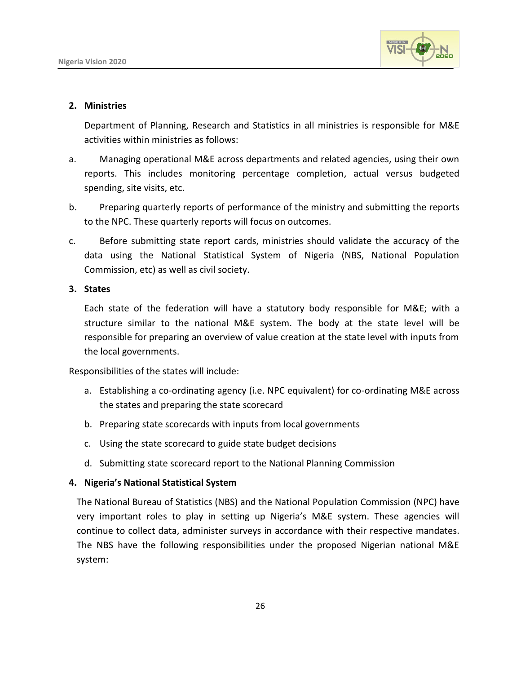

#### **2. Ministries**

Department of Planning, Research and Statistics in all ministries is responsible for M&E activities within ministries as follows:

- a. Managing operational M&E across departments and related agencies, using their own reports. This includes monitoring percentage completion, actual versus budgeted spending, site visits, etc.
- b. Preparing quarterly reports of performance of the ministry and submitting the reports to the NPC. These quarterly reports will focus on outcomes.
- c. Before submitting state report cards, ministries should validate the accuracy of the data using the National Statistical System of Nigeria (NBS, National Population Commission, etc) as well as civil society.

#### **3. States**

Each state of the federation will have a statutory body responsible for M&E; with a structure similar to the national M&E system. The body at the state level will be responsible for preparing an overview of value creation at the state level with inputs from the local governments.

Responsibilities of the states will include:

- a. Establishing a co-ordinating agency (i.e. NPC equivalent) for co-ordinating M&E across the states and preparing the state scorecard
- b. Preparing state scorecards with inputs from local governments
- c. Using the state scorecard to guide state budget decisions
- d. Submitting state scorecard report to the National Planning Commission

#### **4. Nigeria's National Statistical System**

The National Bureau of Statistics (NBS) and the National Population Commission (NPC) have very important roles to play in setting up Nigeria's M&E system. These agencies will continue to collect data, administer surveys in accordance with their respective mandates. The NBS have the following responsibilities under the proposed Nigerian national M&E system: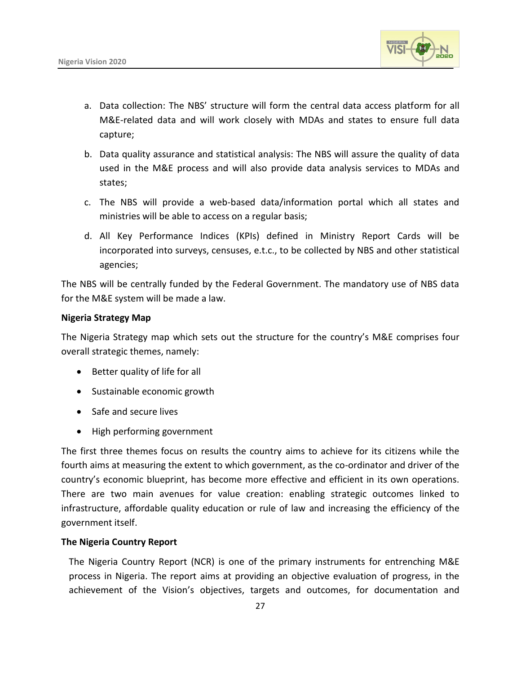

- a. Data collection: The NBS' structure will form the central data access platform for all M&E-related data and will work closely with MDAs and states to ensure full data capture;
- b. Data quality assurance and statistical analysis: The NBS will assure the quality of data used in the M&E process and will also provide data analysis services to MDAs and states;
- c. The NBS will provide a web-based data/information portal which all states and ministries will be able to access on a regular basis;
- d. All Key Performance Indices (KPIs) defined in Ministry Report Cards will be incorporated into surveys, censuses, e.t.c., to be collected by NBS and other statistical agencies;

The NBS will be centrally funded by the Federal Government. The mandatory use of NBS data for the M&E system will be made a law.

#### **Nigeria Strategy Map**

The Nigeria Strategy map which sets out the structure for the country's M&E comprises four overall strategic themes, namely:

- Better quality of life for all
- Sustainable economic growth
- Safe and secure lives
- High performing government

The first three themes focus on results the country aims to achieve for its citizens while the fourth aims at measuring the extent to which government, as the co-ordinator and driver of the country's economic blueprint, has become more effective and efficient in its own operations. There are two main avenues for value creation: enabling strategic outcomes linked to infrastructure, affordable quality education or rule of law and increasing the efficiency of the government itself.

#### **The Nigeria Country Report**

The Nigeria Country Report (NCR) is one of the primary instruments for entrenching M&E process in Nigeria. The report aims at providing an objective evaluation of progress, in the achievement of the Vision's objectives, targets and outcomes, for documentation and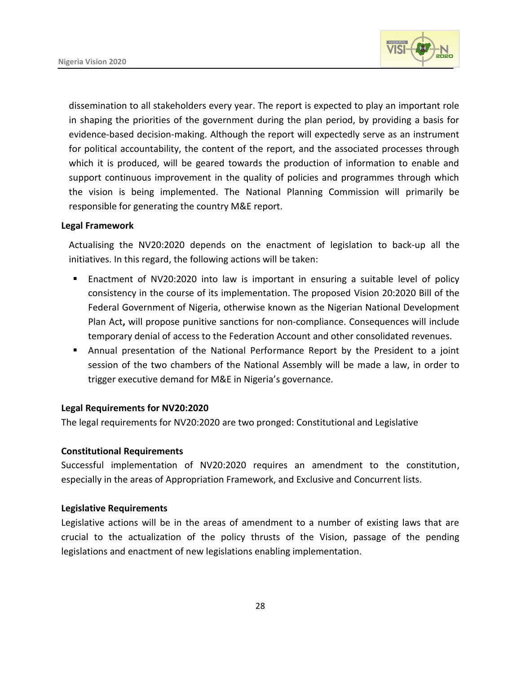

dissemination to all stakeholders every year. The report is expected to play an important role in shaping the priorities of the government during the plan period, by providing a basis for evidence-based decision-making. Although the report will expectedly serve as an instrument for political accountability, the content of the report, and the associated processes through which it is produced, will be geared towards the production of information to enable and support continuous improvement in the quality of policies and programmes through which the vision is being implemented. The National Planning Commission will primarily be responsible for generating the country M&E report.

#### **Legal Framework**

Actualising the NV20:2020 depends on the enactment of legislation to back-up all the initiatives. In this regard, the following actions will be taken:

- Enactment of NV20:2020 into law is important in ensuring a suitable level of policy consistency in the course of its implementation. The proposed Vision 20:2020 Bill of the Federal Government of Nigeria, otherwise known as the Nigerian National Development Plan Act**,** will propose punitive sanctions for non-compliance. Consequences will include temporary denial of access to the Federation Account and other consolidated revenues.
- Annual presentation of the National Performance Report by the President to a joint session of the two chambers of the National Assembly will be made a law, in order to trigger executive demand for M&E in Nigeria's governance.

#### **Legal Requirements for NV20:2020**

The legal requirements for NV20:2020 are two pronged: Constitutional and Legislative

#### **Constitutional Requirements**

Successful implementation of NV20:2020 requires an amendment to the constitution, especially in the areas of Appropriation Framework, and Exclusive and Concurrent lists.

#### **Legislative Requirements**

Legislative actions will be in the areas of amendment to a number of existing laws that are crucial to the actualization of the policy thrusts of the Vision, passage of the pending legislations and enactment of new legislations enabling implementation.